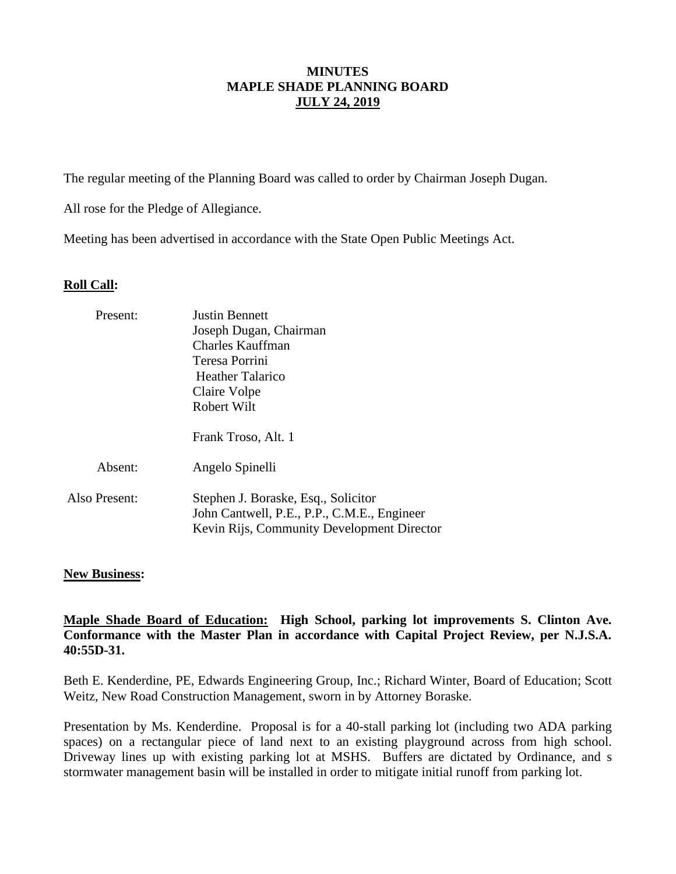# **MINUTES MAPLE SHADE PLANNING BOARD JULY 24, 2019**

The regular meeting of the Planning Board was called to order by Chairman Joseph Dugan.

All rose for the Pledge of Allegiance.

Meeting has been advertised in accordance with the State Open Public Meetings Act.

## **Roll Call:**

| Present:      | <b>Justin Bennett</b>                       |  |  |
|---------------|---------------------------------------------|--|--|
|               | Joseph Dugan, Chairman                      |  |  |
|               | Charles Kauffman                            |  |  |
|               | Teresa Porrini                              |  |  |
|               | Heather Talarico                            |  |  |
|               | Claire Volpe                                |  |  |
|               | Robert Wilt                                 |  |  |
|               |                                             |  |  |
|               | Frank Troso, Alt. 1                         |  |  |
|               |                                             |  |  |
| Absent:       | Angelo Spinelli                             |  |  |
|               |                                             |  |  |
| Also Present: | Stephen J. Boraske, Esq., Solicitor         |  |  |
|               | John Cantwell, P.E., P.P., C.M.E., Engineer |  |  |
|               | Kevin Rijs, Community Development Director  |  |  |
|               |                                             |  |  |

## **New Business:**

**Maple Shade Board of Education: High School, parking lot improvements S. Clinton Ave. Conformance with the Master Plan in accordance with Capital Project Review, per N.J.S.A. 40:55D-31.**

Beth E. Kenderdine, PE, Edwards Engineering Group, Inc.; Richard Winter, Board of Education; Scott Weitz, New Road Construction Management, sworn in by Attorney Boraske.

Presentation by Ms. Kenderdine. Proposal is for a 40-stall parking lot (including two ADA parking spaces) on a rectangular piece of land next to an existing playground across from high school. Driveway lines up with existing parking lot at MSHS. Buffers are dictated by Ordinance, and s stormwater management basin will be installed in order to mitigate initial runoff from parking lot.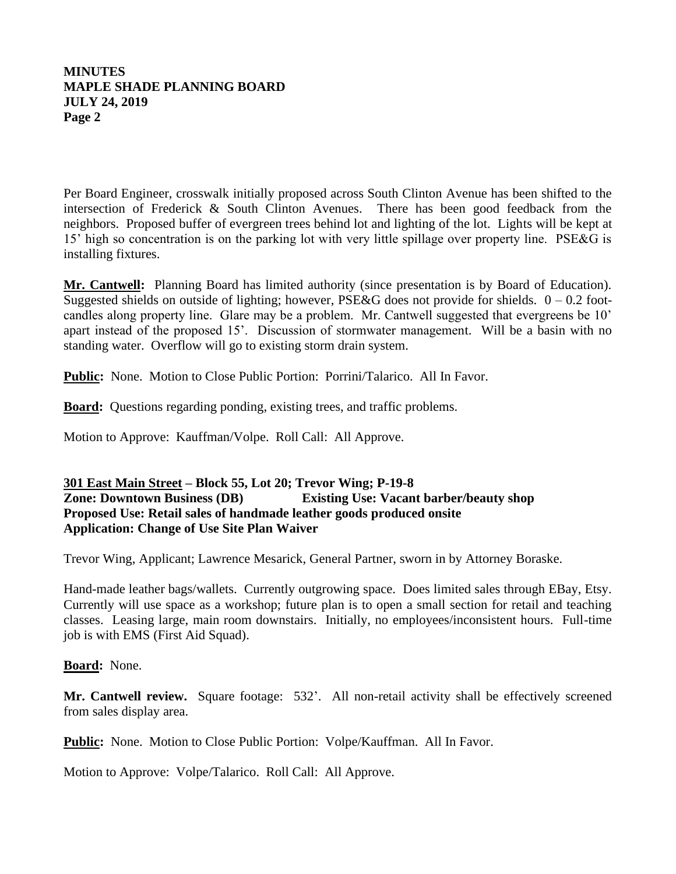## **MINUTES MAPLE SHADE PLANNING BOARD JULY 24, 2019 Page 2**

Per Board Engineer, crosswalk initially proposed across South Clinton Avenue has been shifted to the intersection of Frederick & South Clinton Avenues. There has been good feedback from the neighbors. Proposed buffer of evergreen trees behind lot and lighting of the lot. Lights will be kept at 15' high so concentration is on the parking lot with very little spillage over property line. PSE&G is installing fixtures.

**Mr. Cantwell:** Planning Board has limited authority (since presentation is by Board of Education). Suggested shields on outside of lighting; however, PSE&G does not provide for shields.  $0 - 0.2$  footcandles along property line. Glare may be a problem. Mr. Cantwell suggested that evergreens be 10' apart instead of the proposed 15'. Discussion of stormwater management. Will be a basin with no standing water. Overflow will go to existing storm drain system.

**Public:** None. Motion to Close Public Portion: Porrini/Talarico. All In Favor.

**Board:** Questions regarding ponding, existing trees, and traffic problems.

Motion to Approve: Kauffman/Volpe. Roll Call: All Approve.

# **301 East Main Street – Block 55, Lot 20; Trevor Wing; P-19-8 Zone: Downtown Business (DB) Existing Use: Vacant barber/beauty shop Proposed Use: Retail sales of handmade leather goods produced onsite Application: Change of Use Site Plan Waiver**

Trevor Wing, Applicant; Lawrence Mesarick, General Partner, sworn in by Attorney Boraske.

Hand-made leather bags/wallets. Currently outgrowing space. Does limited sales through EBay, Etsy. Currently will use space as a workshop; future plan is to open a small section for retail and teaching classes. Leasing large, main room downstairs. Initially, no employees/inconsistent hours. Full-time job is with EMS (First Aid Squad).

#### **Board:** None.

**Mr. Cantwell review.** Square footage: 532'. All non-retail activity shall be effectively screened from sales display area.

**Public:** None. Motion to Close Public Portion: Volpe/Kauffman. All In Favor.

Motion to Approve: Volpe/Talarico. Roll Call: All Approve.